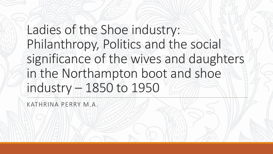# Ladies of the Shoe industry: Philanthropy, Politics and the social significance of the wives and daughters in the Northampton boot and shoe industry – 1850 to 1950

KATHRINA PERRY M.A.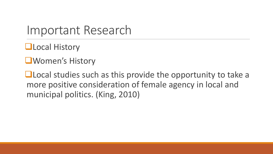#### Important Research

❑Local History

❑Women's History

■Local studies such as this provide the opportunity to take a more positive consideration of female agency in local and municipal politics. (King, 2010)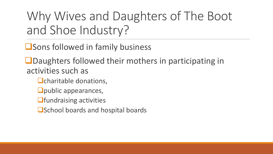Why Wives and Daughters of The Boot and Shoe Industry?

❑Sons followed in family business

❑Daughters followed their mothers in participating in activities such as

- □charitable donations,
- ❑public appearances,
- ■**fundraising activities**
- ■School boards and hospital boards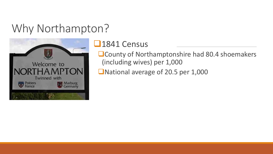#### Why Northampton?



#### ❑1841 Census

❑County of Northamptonshire had 80.4 shoemakers (including wives) per 1,000

■National average of 20.5 per 1,000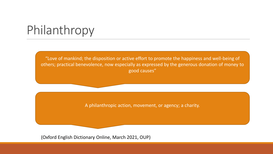## Philanthropy

"Love of mankind; the disposition or active effort to promote the happiness and well-being of others; practical benevolence, now especially as expressed by the generous donation of money to good causes"

A philanthropic action, movement, or agency; a charity.

(Oxford English Dictionary Online, March 2021, OUP)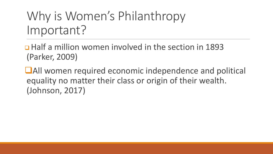## Why is Women's Philanthropy Important?

❑ Half a million women involved in the section in 1893 (Parker, 2009)

■All women required economic independence and political equality no matter their class or origin of their wealth. (Johnson, 2017)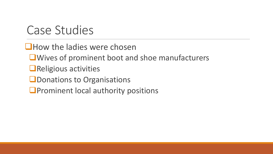#### Case Studies

■How the ladies were chosen

❑Wives of prominent boot and shoe manufacturers

- ❑Religious activities
- ■Donations to Organisations
- ■Prominent local authority positions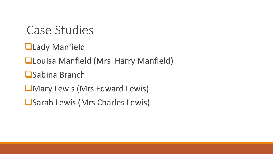#### Case Studies

- ❑Lady Manfield
- ❑Louisa Manfield (Mrs Harry Manfield)
- ❑Sabina Branch
- ❑Mary Lewis (Mrs Edward Lewis)
- ❑Sarah Lewis (Mrs Charles Lewis)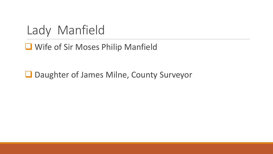Lady Manfield

#### ❑ Wife of Sir Moses Philip Manfield

❑ Daughter of James Milne, County Surveyor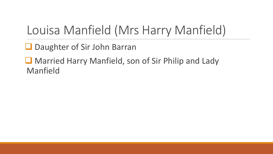## Louisa Manfield (Mrs Harry Manfield)

■ Daughter of Sir John Barran

■ Married Harry Manfield, son of Sir Philip and Lady Manfield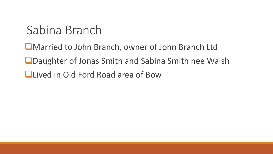## Sabina Branch

❑Married to John Branch, owner of John Branch Ltd

❑Daughter of Jonas Smith and Sabina Smith nee Walsh

❑Lived in Old Ford Road area of Bow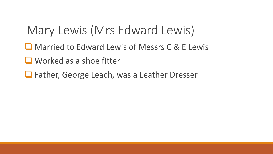## Mary Lewis (Mrs Edward Lewis)

- ❑ Married to Edward Lewis of Messrs C & E Lewis
- Worked as a shoe fitter
- ❑ Father, George Leach, was a Leather Dresser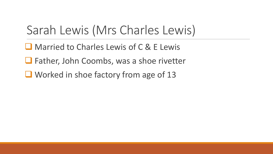## Sarah Lewis (Mrs Charles Lewis)

- ❑ Married to Charles Lewis of C & E Lewis
- ❑ Father, John Coombs, was a shoe rivetter
- Worked in shoe factory from age of 13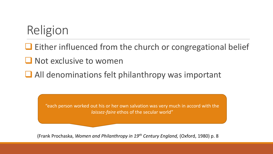## Religion

❑ Either influenced from the church or congregational belief

■ Not exclusive to women

❑ All denominations felt philanthropy was important

"each person worked out his or her own salvation was very much in accord with the *laissez-faire* ethos of the secular world"

(Frank Prochaska, *Women and Philanthropy in 19th Century England,* (Oxford, 1980) p. 8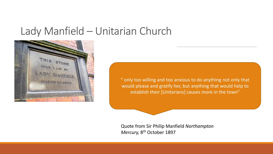#### Lady Manfield – Unitarian Church



" only too willing and too anxious to do anything not only that would please and gratify her, but anything that would help to establish their [Unitarians] causes more in the town"

Quote from Sir Philip Manfield *Northampton*  Mercury, 8<sup>th</sup> October 1897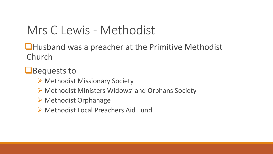### Mrs C Lewis - Methodist

❑Husband was a preacher at the Primitive Methodist Church

❑Bequests to

- ➢ Methodist Missionary Society
- ➢ Methodist Ministers Widows' and Orphans Society
- ➢ Methodist Orphanage
- ➢ Methodist Local Preachers Aid Fund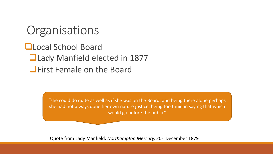#### **Organisations**

❑Local School Board ❑Lady Manfield elected in 1877 ■First Female on the Board

> "she could do quite as well as if she was on the Board, and being there alone perhaps she had not always done her own nature justice, being too timid in saying that which would go before the public"

Quote from Lady Manfield, *Northampton Mercury,* 20th December 1879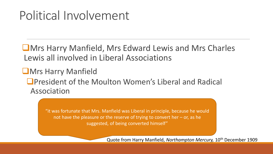### Political Involvement

❑Mrs Harry Manfield, Mrs Edward Lewis and Mrs Charles Lewis all involved in Liberal Associations

❑Mrs Harry Manfield ❑President of the Moulton Women's Liberal and Radical Association

> "it was fortunate that Mrs. Manfield was Liberal in principle, because he would not have the pleasure or the reserve of trying to convert her – or, as he suggested, of being converted himself"

> > Quote from Harry Manfield, *Northampton Mercury,* 10th December 1909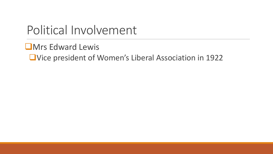### Political Involvement

❑Mrs Edward Lewis

❑Vice president of Women's Liberal Association in 1922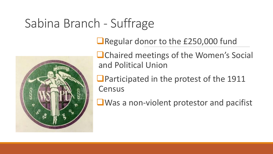## Sabina Branch - Suffrage



■Regular donor to the £250,000 fund

■Chaired meetings of the Women's Social and Political Union

■Participated in the protest of the 1911 **Census** 

■Was a non-violent protestor and pacifist